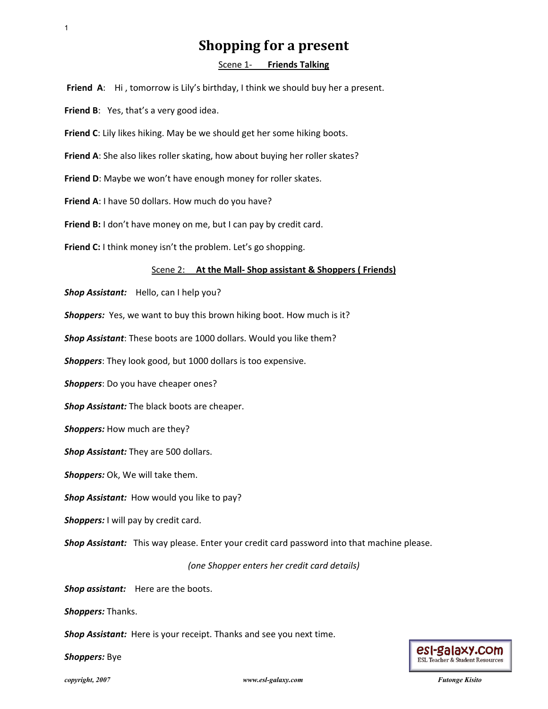# **Shopping for a present**

### Scene 1‐ **Friends Talking**

**Friend A:** Hi, tomorrow is Lily's birthday, I think we should buy her a present.

**Friend B**: Yes, that's a very good idea.

**Friend C**: Lily likes hiking. May be we should get her some hiking boots.

**Friend A**: She also likes roller skating, how about buying her roller skates?

**Friend D**: Maybe we won't have enough money for roller skates.

**Friend A**: I have 50 dollars. How much do you have?

**Friend B:** I don't have money on me, but I can pay by credit card.

**Friend C:** I think money isn't the problem. Let's go shopping.

#### Scene 2: **At the Mall‐ Shop assistant & Shoppers ( Friends)**

*Shop Assistant:* Hello, can I help you?

**Shoppers:** Yes, we want to buy this brown hiking boot. How much is it?

*Shop Assistant*: These boots are 1000 dollars. Would you like them?

*Shoppers*: They look good, but 1000 dollars is too expensive.

*Shoppers*: Do you have cheaper ones?

*Shop Assistant:* The black boots are cheaper.

*Shoppers:* How much are they?

*Shop Assistant:* They are 500 dollars.

*Shoppers:* Ok, We will take them.

*Shop Assistant:* How would you like to pay?

*Shoppers:* I will pay by credit card.

*Shop Assistant:* This way please. Enter your credit card password into that machine please. **Shopping for a pressent**<br> **Friend A.** HI, sometrow is Uly's intridues, it think we should buy here a present.<br> **Friend B:** Yes, that's a very gound ties.<br> **Friend B:** Yes, that's a very gound ties.<br> **Friend A:** She also l

*(one Shopper enters her credit card details)*

*Shop assistant:* Here are the boots.

*Shoppers:* Thanks.

*Shop Assistant:* Here is your receipt. Thanks and see you next time.

*Shoppers:* Bye